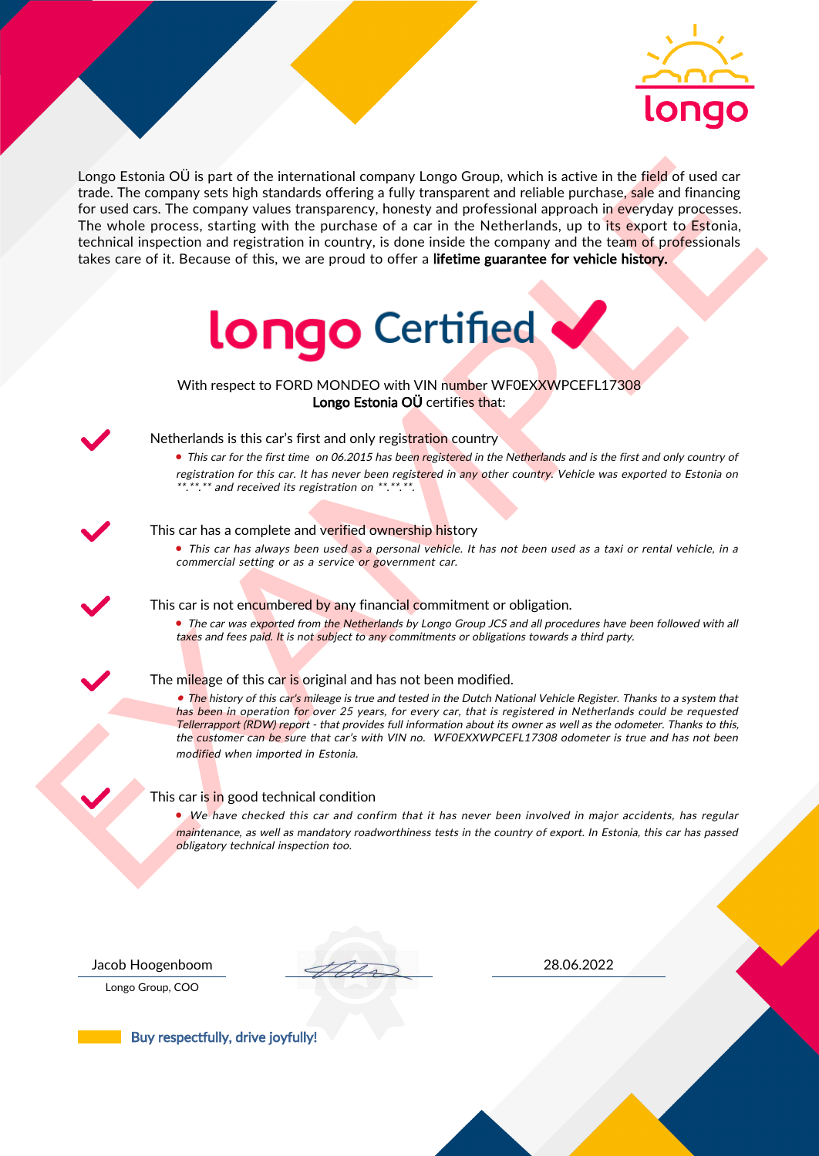

Length Entonio OI is part of the international company Length Company is the first of the field of used or the<br>
The vehicle process, starting with the purchase of a car in the Netherlands, up to the special process<br>
The w Longo Estonia OÜ is part of the international company Longo Group, which is active in the field of used car trade. The company sets high standards offering a fully transparent and reliable purchase, sale and financing for used cars. The company values transparency, honesty and professional approach in everyday processes. The whole process, starting with the purchase of a car in the Netherlands, up to its export to Estonia, technical inspection and registration in country, is done inside the company and the team of professionals takes care of it. Because of this, we are proud to offer a lifetime guarantee for vehicle history.



With respect to FORD MONDEO with VIN number WF0EXXWPCEFL17308 Longo Estonia OÜ certifies that:



## Netherlands is this car's first and only registration country

• This car for the first time on 06.2015 has been registered in the Netherlands and is the first and only country of registration for this car. It has never been registered in any other country. Vehicle was exported to Estonia on \*.\*\*.\*\* and received its registration on \*\*.\*\*.\*\*.

## This car has a complete and verified ownership history

• This car has always been used as a personal vehicle. It has not been used as a taxi or rental vehicle, in a commercial setting or as a service or government car.

This car is not encumbered by any financial commitment or obligation.

• The car was exported from the Netherlands by Longo Group JCS and all procedures have been followed with all taxes and fees paid. It is not subject to any commitments or obligations towards a third party.

#### The mileage of this car is original and has not been modified.

• The history of this car's mileage is true and tested in the Dutch National Vehicle Register. Thanks to a system that has been in operation for over 25 years, for every car, that is registered in Netherlands could be requested Tellerrapport (RDW) report - that provides full information about its owner as well as the odometer. Thanks to this, the customer can be sure that car's with VIN no. WF0EXXWPCEFL17308 odometer is true and has not been modified when imported in Estonia.

## This car is in good technical condition

• We have checked this car and confirm that it has never been involved in major accidents, has regular maintenance, as well as mandatory roadworthiness tests in the country of export. In Estonia, this car has passed obligatory technical inspection too.

Longo Group, COO

Jacob Hoogenboom 28.06.2022

Buy respectfully, drive joyfully!